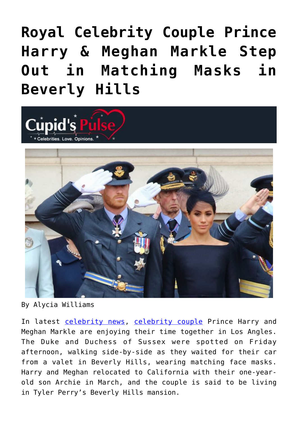## **[Royal Celebrity Couple Prince](https://cupidspulse.com/135215/royal-celebrity-couple-prince-harry-meghan-markle-step-out-beverly-hills/) [Harry & Meghan Markle Step](https://cupidspulse.com/135215/royal-celebrity-couple-prince-harry-meghan-markle-step-out-beverly-hills/) [Out in Matching Masks in](https://cupidspulse.com/135215/royal-celebrity-couple-prince-harry-meghan-markle-step-out-beverly-hills/) [Beverly Hills](https://cupidspulse.com/135215/royal-celebrity-couple-prince-harry-meghan-markle-step-out-beverly-hills/)**



By Alycia Williams

In latest [celebrity news,](http://cupidspulse.com/celebrity-news/) [celebrity couple](http://cupidspulse.com/celebrity-news/celebrity-dating/) Prince Harry and Meghan Markle are enjoying their time together in Los Angles. The Duke and Duchess of Sussex were spotted on Friday afternoon, walking side-by-side as they waited for their car from a valet in Beverly Hills, wearing matching face masks. Harry and Meghan relocated to California with their one-yearold son Archie in March, and the couple is said to be living in Tyler Perry's Beverly Hills mansion.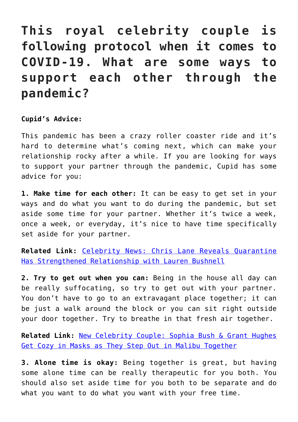## **This royal celebrity couple is following protocol when it comes to COVID-19. What are some ways to support each other through the pandemic?**

## **Cupid's Advice:**

This pandemic has been a crazy roller coaster ride and it's hard to determine what's coming next, which can make your relationship rocky after a while. If you are looking for ways to support your partner through the pandemic, Cupid has some advice for you:

**1. Make time for each other:** It can be easy to get set in your ways and do what you want to do during the pandemic, but set aside some time for your partner. Whether it's twice a week, once a week, or everyday, it's nice to have time specifically set aside for your partner.

**Related Link:** [Celebrity News: Chris Lane Reveals Quarantine](http://cupidspulse.com/134474/celebrity-news-chris-lane-reveals-quarantine-strengthened-relationship/) [Has Strengthened Relationship with Lauren Bushnell](http://cupidspulse.com/134474/celebrity-news-chris-lane-reveals-quarantine-strengthened-relationship/)

**2. Try to get out when you can:** Being in the house all day can be really suffocating, so try to get out with your partner. You don't have to go to an extravagant place together; it can be just a walk around the block or you can sit right outside your door together. Try to breathe in that fresh air together.

**Related Link:** [New Celebrity Couple: Sophia Bush & Grant Hughes](http://cupidspulse.com/134701/new-celebrity-couple-sophia-bush-grant-hughes-step-out-malibu/) [Get Cozy in Masks as They Step Out in Malibu Together](http://cupidspulse.com/134701/new-celebrity-couple-sophia-bush-grant-hughes-step-out-malibu/)

**3. Alone time is okay:** Being together is great, but having some alone time can be really therapeutic for you both. You should also set aside time for you both to be separate and do what you want to do what you want with your free time.